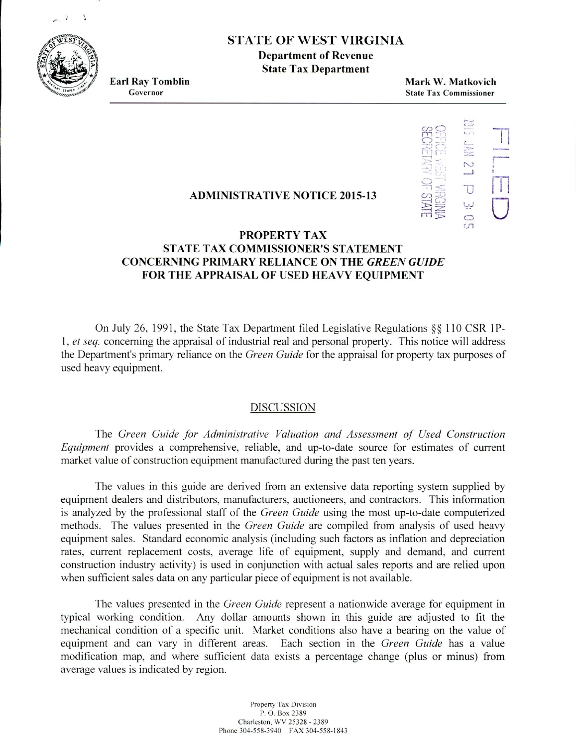

# STATE OF WEST VIRGINIA

**Department of Revenue State Tax Department**

**Earl Ray Tomblin Mark W. Matkovich** Governor **State** Tax **Commissioner**



## **ADMINISTRATIVE NOTICE 2015-13**

# **PROPERTY TAX STATE TAX COMMISSIONER'S STATEMENT CONCERNING PRIMARY RELIANCE ON THE** *GREEN GUIDE* **FOR THE APPRAISAL OF USED HEAVY EQUIPMENT**

On July 26, 1991, the State Tax Department filed Legislative Regulations  $\S$ § 110 CSR 1P-1. *ci seq.* concerning the appraisal of industrial real and personal property. This notice will address the Department's primary reliance on the *Green Guide* for the appraisal for property tax purposes of used heavy equipment.

#### DISCUSSION

The *Green Guide /ir Administrative Valuation and Assessment of Used Construction Equipment* provides a comprehensive, reliable, and up-to-date source for estimates of current market value of construction equipment manufactured during the past ten years.

The values in this guide are derived from an extensive data reporting system supplied by equipment dealers and distributors, manufacturers, auctioneers, and contractors. This information is analyzed by the professional staff of the *Green Guide* using the most up-to-date computerized methods. The values presented in the *Green Guide* are compiled from analysis of used heavy equipment sales. Standard economic analysis (including such factors as inflation and depreciation rates, current replacement costs, average life of equipment, supply and demand, and current construction industry activity) is used in conjunction with actual sales reports and are relied upon when sufficient sales data on any particular piece of equipment is not available.

The values presented in the *Green Guide* represent a nationwide average for equipment in typical working condition. Any dollar amounts shown in this guide are adjusted to fit the mechanical condition of a specific unit. Market conditions also have a bearing on the value of equipment and can vary in different areas. Each section in the *Green Guide* has a value modification map, and where sufficient data exists a percentage change (plus or minus) from average values is indicated by region.